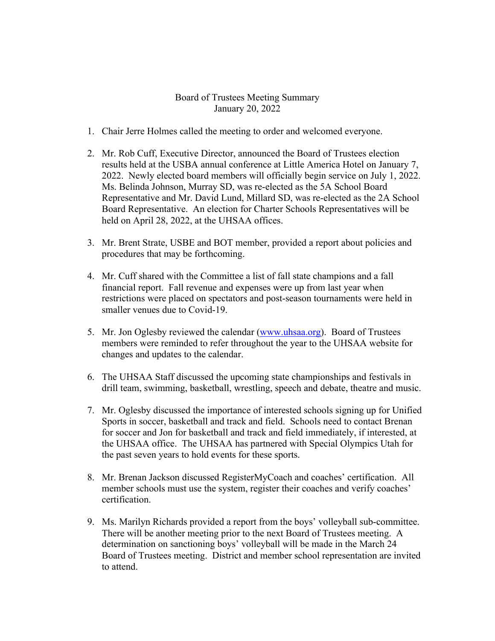## Board of Trustees Meeting Summary January 20, 2022

- 1. Chair Jerre Holmes called the meeting to order and welcomed everyone.
- 2. Mr. Rob Cuff, Executive Director, announced the Board of Trustees election results held at the USBA annual conference at Little America Hotel on January 7, 2022. Newly elected board members will officially begin service on July 1, 2022. Ms. Belinda Johnson, Murray SD, was re-elected as the 5A School Board Representative and Mr. David Lund, Millard SD, was re-elected as the 2A School Board Representative. An election for Charter Schools Representatives will be held on April 28, 2022, at the UHSAA offices.
- 3. Mr. Brent Strate, USBE and BOT member, provided a report about policies and procedures that may be forthcoming.
- 4. Mr. Cuff shared with the Committee a list of fall state champions and a fall financial report. Fall revenue and expenses were up from last year when restrictions were placed on spectators and post-season tournaments were held in smaller venues due to Covid-19.
- 5. Mr. Jon Oglesby reviewed the calendar (www.uhsaa.org). Board of Trustees members were reminded to refer throughout the year to the UHSAA website for changes and updates to the calendar.
- 6. The UHSAA Staff discussed the upcoming state championships and festivals in drill team, swimming, basketball, wrestling, speech and debate, theatre and music.
- 7. Mr. Oglesby discussed the importance of interested schools signing up for Unified Sports in soccer, basketball and track and field. Schools need to contact Brenan for soccer and Jon for basketball and track and field immediately, if interested, at the UHSAA office. The UHSAA has partnered with Special Olympics Utah for the past seven years to hold events for these sports.
- 8. Mr. Brenan Jackson discussed RegisterMyCoach and coaches' certification. All member schools must use the system, register their coaches and verify coaches' certification.
- 9. Ms. Marilyn Richards provided a report from the boys' volleyball sub-committee. There will be another meeting prior to the next Board of Trustees meeting. A determination on sanctioning boys' volleyball will be made in the March 24 Board of Trustees meeting. District and member school representation are invited to attend.